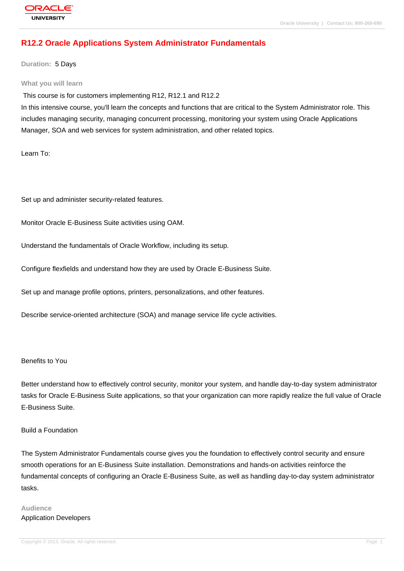# **[R12.2 Oracle A](http://education.oracle.com/pls/web_prod-plq-dad/db_pages.getpage?page_id=3)pplications System Administrator Fundamentals**

**Duration:** 5 Days

#### **What you will learn**

This course is for customers implementing R12, R12.1 and R12.2

In this intensive course, you'll learn the concepts and functions that are critical to the System Administrator role. This includes managing security, managing concurrent processing, monitoring your system using Oracle Applications Manager, SOA and web services for system administration, and other related topics.

Learn To:

Set up and administer security-related features.

Monitor Oracle E-Business Suite activities using OAM.

Understand the fundamentals of Oracle Workflow, including its setup.

Configure flexfields and understand how they are used by Oracle E-Business Suite.

Set up and manage profile options, printers, personalizations, and other features.

Describe service-oriented architecture (SOA) and manage service life cycle activities.

#### Benefits to You

Better understand how to effectively control security, monitor your system, and handle day-to-day system administrator tasks for Oracle E-Business Suite applications, so that your organization can more rapidly realize the full value of Oracle E-Business Suite.

#### Build a Foundation

The System Administrator Fundamentals course gives you the foundation to effectively control security and ensure smooth operations for an E-Business Suite installation. Demonstrations and hands-on activities reinforce the fundamental concepts of configuring an Oracle E-Business Suite, as well as handling day-to-day system administrator tasks.

# **Audience** Application Developers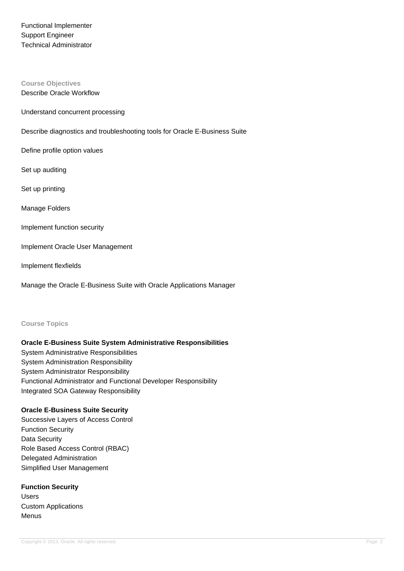Functional Implementer Support Engineer Technical Administrator

# **Course Objectives**

Describe Oracle Workflow

Understand concurrent processing

Describe diagnostics and troubleshooting tools for Oracle E-Business Suite

Define profile option values

Set up auditing

Set up printing

Manage Folders

Implement function security

Implement Oracle User Management

Implement flexfields

Manage the Oracle E-Business Suite with Oracle Applications Manager

#### **Course Topics**

#### **Oracle E-Business Suite System Administrative Responsibilities**

System Administrative Responsibilities System Administration Responsibility System Administrator Responsibility Functional Administrator and Functional Developer Responsibility Integrated SOA Gateway Responsibility

#### **Oracle E-Business Suite Security**

Successive Layers of Access Control Function Security Data Security Role Based Access Control (RBAC) Delegated Administration Simplified User Management

**Function Security** Users Custom Applications Menus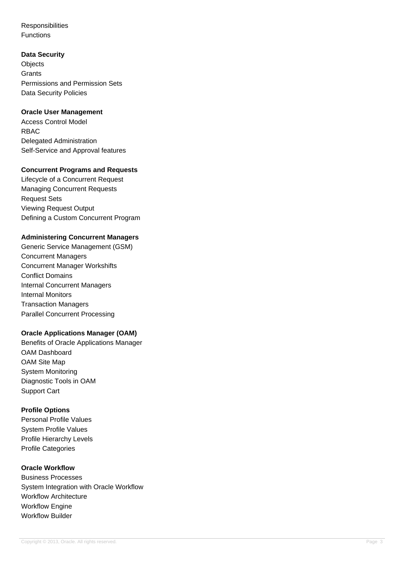**Responsibilities** Functions

#### **Data Security**

**Objects Grants** Permissions and Permission Sets Data Security Policies

### **Oracle User Management**

Access Control Model RBAC Delegated Administration Self-Service and Approval features

### **Concurrent Programs and Requests**

Lifecycle of a Concurrent Request Managing Concurrent Requests Request Sets Viewing Request Output Defining a Custom Concurrent Program

# **Administering Concurrent Managers**

Generic Service Management (GSM) Concurrent Managers Concurrent Manager Workshifts Conflict Domains Internal Concurrent Managers Internal Monitors Transaction Managers Parallel Concurrent Processing

# **Oracle Applications Manager (OAM)**

Benefits of Oracle Applications Manager OAM Dashboard OAM Site Map System Monitoring Diagnostic Tools in OAM Support Cart

# **Profile Options**

Personal Profile Values System Profile Values Profile Hierarchy Levels Profile Categories

### **Oracle Workflow**

Business Processes System Integration with Oracle Workflow Workflow Architecture Workflow Engine Workflow Builder